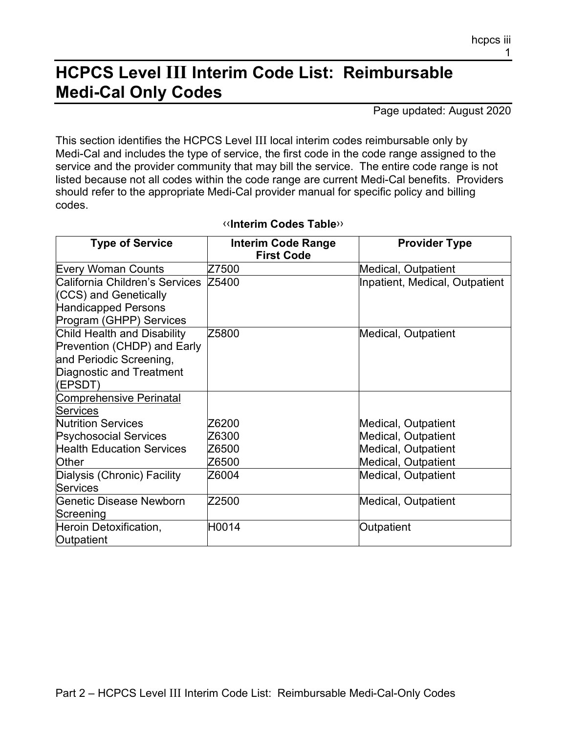## **HCPCS Level III Interim Code List: Reimbursable Medi-Cal Only Codes**

Page updated: August 2020

This section identifies the HCPCS Level III local interim codes reimbursable only by Medi-Cal and includes the type of service, the first code in the code range assigned to the service and the provider community that may bill the service. The entire code range is not listed because not all codes within the code range are current Medi-Cal benefits. Providers should refer to the appropriate Medi-Cal provider manual for specific policy and billing codes.

| <b>Type of Service</b>                                                                                                       | Interim Code Range<br><b>First Code</b> | <b>Provider Type</b>           |
|------------------------------------------------------------------------------------------------------------------------------|-----------------------------------------|--------------------------------|
| <b>Every Woman Counts</b>                                                                                                    | Z7500                                   | <b>Medical, Outpatient</b>     |
| California Children's Services<br>(CCS) and Genetically<br><b>Handicapped Persons</b><br>Program (GHPP) Services             | Z5400                                   | Inpatient, Medical, Outpatient |
| Child Health and Disability<br>Prevention (CHDP) and Early<br>and Periodic Screening,<br>Diagnostic and Treatment<br>(EPSDT) | Z5800                                   | Medical, Outpatient            |
| <b>Comprehensive Perinatal</b>                                                                                               |                                         |                                |
| Services                                                                                                                     |                                         |                                |
| <b>Nutrition Services</b>                                                                                                    | Z6200                                   | <b>Medical, Outpatient</b>     |
| <b>Psychosocial Services</b>                                                                                                 | Z6300                                   | <b>Medical, Outpatient</b>     |
| <b>Health Education Services</b>                                                                                             | Z6500                                   | <b>Medical, Outpatient</b>     |
| Other                                                                                                                        | Z6500                                   | <b>Medical, Outpatient</b>     |
| Dialysis (Chronic) Facility<br><b>Services</b>                                                                               | Z6004                                   | Medical, Outpatient            |
| Genetic Disease Newborn<br>Screening                                                                                         | Z2500                                   | Medical, Outpatient            |
| Heroin Detoxification,<br>Outpatient                                                                                         | H0014                                   | Outpatient                     |

## [‹‹](#page-2-0)**Interim Codes Table**[››](#page-2-1)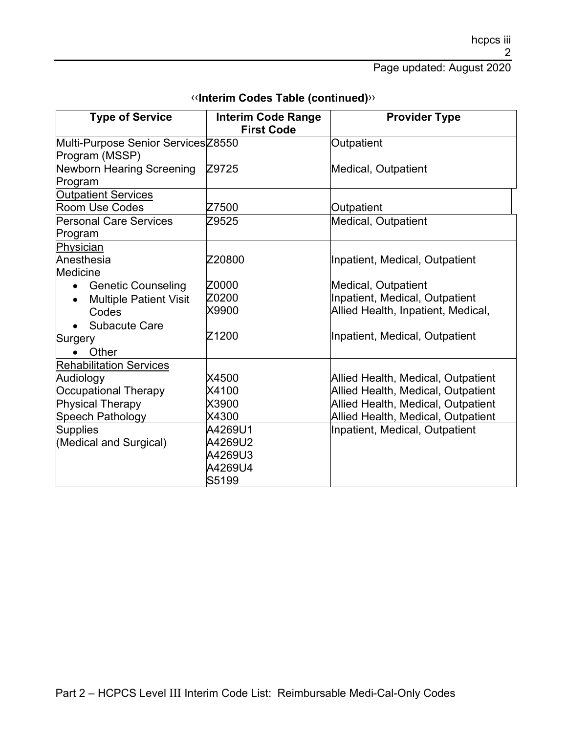| <b>Type of Service</b>                                                                                             | <b>Interim Code Range</b><br><b>First Code</b>    | <b>Provider Type</b>                                                                                                                                 |
|--------------------------------------------------------------------------------------------------------------------|---------------------------------------------------|------------------------------------------------------------------------------------------------------------------------------------------------------|
| Multi-Purpose Senior ServicesZ8550<br>Program (MSSP)                                                               |                                                   | Outpatient                                                                                                                                           |
| Newborn Hearing Screening<br>Program                                                                               | Z9725                                             | <b>Medical, Outpatient</b>                                                                                                                           |
| <b>Outpatient Services</b><br><b>Room Use Codes</b>                                                                | Z7500                                             | Outpatient                                                                                                                                           |
| <b>Personal Care Services</b><br>Program                                                                           | Z9525                                             | <b>Medical, Outpatient</b>                                                                                                                           |
| Physician<br>Anesthesia<br>Medicine                                                                                | Z20800                                            | Inpatient, Medical, Outpatient                                                                                                                       |
| <b>Genetic Counseling</b><br>$\bullet$<br><b>Multiple Patient Visit</b><br>$\bullet$<br>Codes<br>Subacute Care     | Z0000<br>Z0200<br>X9900                           | <b>Medical, Outpatient</b><br>Inpatient, Medical, Outpatient<br>Allied Health, Inpatient, Medical,                                                   |
| Surgery<br>Other                                                                                                   | Z1200                                             | Inpatient, Medical, Outpatient                                                                                                                       |
| <b>Rehabilitation Services</b><br>Audiology<br>Occupational Therapy<br><b>Physical Therapy</b><br>Speech Pathology | X4500<br>X4100<br>X3900<br>X4300                  | Allied Health, Medical, Outpatient<br>Allied Health, Medical, Outpatient<br>Allied Health, Medical, Outpatient<br>Allied Health, Medical, Outpatient |
| <b>Supplies</b><br>(Medical and Surgical)                                                                          | A4269U1<br>A4269U2<br>A4269U3<br>A4269U4<br>S5199 | Inpatient, Medical, Outpatient                                                                                                                       |

## [‹‹](#page-2-0)**Interim Codes Table (continued)**[››](#page-2-1)